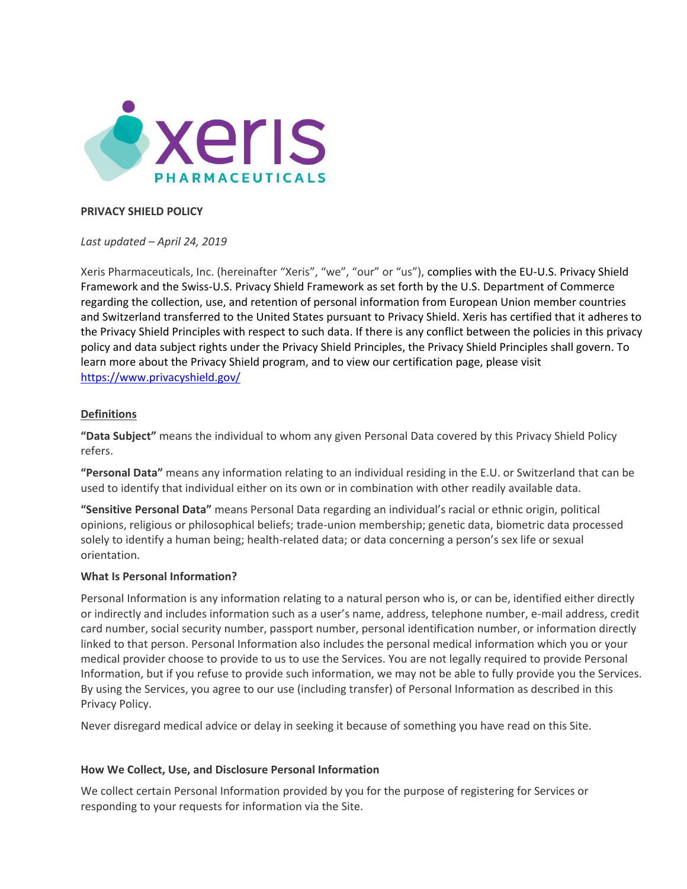

### **PRIVACY SHIELD POLICY**

*Last updated – April 24, 2019*

Xeris Pharmaceuticals, Inc. (hereinafter "Xeris", "we", "our" or "us"), complies with the EU-U.S. Privacy Shield Framework and the Swiss-U.S. Privacy Shield Framework as set forth by the U.S. Department of Commerce regarding the collection, use, and retention of personal information from European Union member countries and Switzerland transferred to the United States pursuant to Privacy Shield. Xeris has certified that it adheres to the Privacy Shield Principles with respect to such data. If there is any conflict between the policies in this privacy policy and data subject rights under the Privacy Shield Principles, the Privacy Shield Principles shall govern. To learn more about the Privacy Shield program, and to view our certification page, please visit <https://www.privacyshield.gov/>

### **Definitions**

**"Data Subject"** means the individual to whom any given Personal Data covered by this Privacy Shield Policy refers.

**"Personal Data"** means any information relating to an individual residing in the E.U. or Switzerland that can be used to identify that individual either on its own or in combination with other readily available data.

**"Sensitive Personal Data"** means Personal Data regarding an individual's racial or ethnic origin, political opinions, religious or philosophical beliefs; trade-union membership; genetic data, biometric data processed solely to identify a human being; health-related data; or data concerning a person's sex life or sexual orientation.

#### **What Is Personal Information?**

Personal Information is any information relating to a natural person who is, or can be, identified either directly or indirectly and includes information such as a user's name, address, telephone number, e-mail address, credit card number, social security number, passport number, personal identification number, or information directly linked to that person. Personal Information also includes the personal medical information which you or your medical provider choose to provide to us to use the Services. You are not legally required to provide Personal Information, but if you refuse to provide such information, we may not be able to fully provide you the Services. By using the Services, you agree to our use (including transfer) of Personal Information as described in this Privacy Policy.

Never disregard medical advice or delay in seeking it because of something you have read on this Site.

#### **How We Collect, Use, and Disclosure Personal Information**

We collect certain Personal Information provided by you for the purpose of registering for Services or responding to your requests for information via the Site.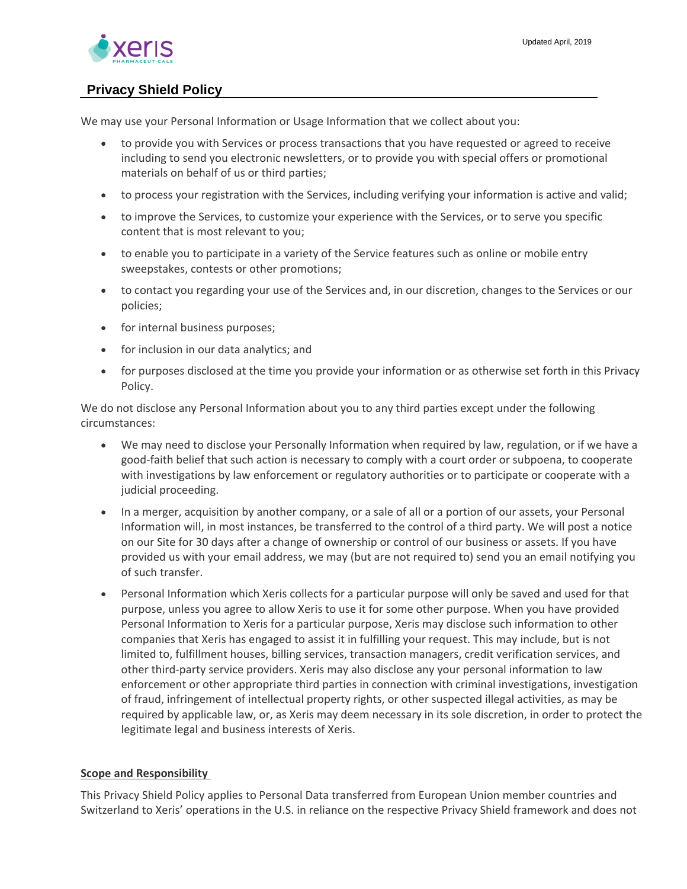

We may use your Personal Information or Usage Information that we collect about you:

- to provide you with Services or process transactions that you have requested or agreed to receive including to send you electronic newsletters, or to provide you with special offers or promotional materials on behalf of us or third parties;
- to process your registration with the Services, including verifying your information is active and valid;
- to improve the Services, to customize your experience with the Services, or to serve you specific content that is most relevant to you;
- to enable you to participate in a variety of the Service features such as online or mobile entry sweepstakes, contests or other promotions;
- to contact you regarding your use of the Services and, in our discretion, changes to the Services or our policies;
- for internal business purposes;
- for inclusion in our data analytics; and
- for purposes disclosed at the time you provide your information or as otherwise set forth in this Privacy Policy.

We do not disclose any Personal Information about you to any third parties except under the following circumstances:

- We may need to disclose your Personally Information when required by law, regulation, or if we have a good-faith belief that such action is necessary to comply with a court order or subpoena, to cooperate with investigations by law enforcement or regulatory authorities or to participate or cooperate with a judicial proceeding.
- In a merger, acquisition by another company, or a sale of all or a portion of our assets, your Personal Information will, in most instances, be transferred to the control of a third party. We will post a notice on our Site for 30 days after a change of ownership or control of our business or assets. If you have provided us with your email address, we may (but are not required to) send you an email notifying you of such transfer.
- Personal Information which Xeris collects for a particular purpose will only be saved and used for that purpose, unless you agree to allow Xeris to use it for some other purpose. When you have provided Personal Information to Xeris for a particular purpose, Xeris may disclose such information to other companies that Xeris has engaged to assist it in fulfilling your request. This may include, but is not limited to, fulfillment houses, billing services, transaction managers, credit verification services, and other third-party service providers. Xeris may also disclose any your personal information to law enforcement or other appropriate third parties in connection with criminal investigations, investigation of fraud, infringement of intellectual property rights, or other suspected illegal activities, as may be required by applicable law, or, as Xeris may deem necessary in its sole discretion, in order to protect the legitimate legal and business interests of Xeris.

### **Scope and Responsibility**

This Privacy Shield Policy applies to Personal Data transferred from European Union member countries and Switzerland to Xeris' operations in the U.S. in reliance on the respective Privacy Shield framework and does not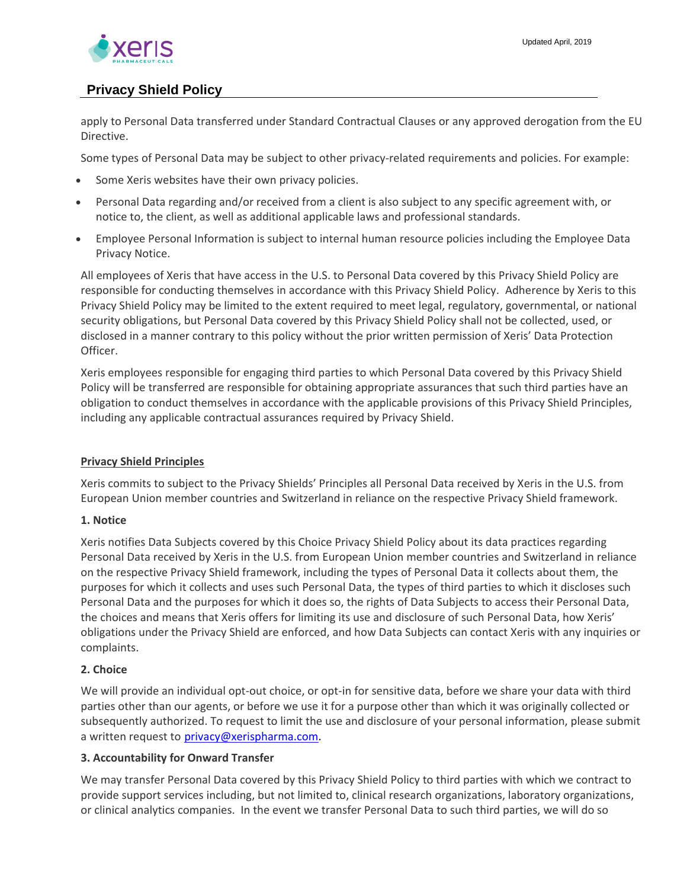

apply to Personal Data transferred under Standard Contractual Clauses or any approved derogation from the EU Directive.

Some types of Personal Data may be subject to other privacy-related requirements and policies. For example:

- Some Xeris websites have their own privacy policies.
- Personal Data regarding and/or received from a client is also subject to any specific agreement with, or notice to, the client, as well as additional applicable laws and professional standards.
- Employee Personal Information is subject to internal human resource policies including the Employee Data Privacy Notice.

All employees of Xeris that have access in the U.S. to Personal Data covered by this Privacy Shield Policy are responsible for conducting themselves in accordance with this Privacy Shield Policy. Adherence by Xeris to this Privacy Shield Policy may be limited to the extent required to meet legal, regulatory, governmental, or national security obligations, but Personal Data covered by this Privacy Shield Policy shall not be collected, used, or disclosed in a manner contrary to this policy without the prior written permission of Xeris' Data Protection Officer.

Xeris employees responsible for engaging third parties to which Personal Data covered by this Privacy Shield Policy will be transferred are responsible for obtaining appropriate assurances that such third parties have an obligation to conduct themselves in accordance with the applicable provisions of this Privacy Shield Principles, including any applicable contractual assurances required by Privacy Shield.

### **Privacy Shield Principles**

Xeris commits to subject to the Privacy Shields' Principles all Personal Data received by Xeris in the U.S. from European Union member countries and Switzerland in reliance on the respective Privacy Shield framework.

### **1. Notice**

Xeris notifies Data Subjects covered by this Choice Privacy Shield Policy about its data practices regarding Personal Data received by Xeris in the U.S. from European Union member countries and Switzerland in reliance on the respective Privacy Shield framework, including the types of Personal Data it collects about them, the purposes for which it collects and uses such Personal Data, the types of third parties to which it discloses such Personal Data and the purposes for which it does so, the rights of Data Subjects to access their Personal Data, the choices and means that Xeris offers for limiting its use and disclosure of such Personal Data, how Xeris' obligations under the Privacy Shield are enforced, and how Data Subjects can contact Xeris with any inquiries or complaints.

### **2. Choice**

We will provide an individual opt-out choice, or opt-in for sensitive data, before we share your data with third parties other than our agents, or before we use it for a purpose other than which it was originally collected or subsequently authorized. To request to limit the use and disclosure of your personal information, please submit a written request to [privacy@xerispharma.com.](mailto:privacy@xerispharma.com)

### **3. Accountability for Onward Transfer**

We may transfer Personal Data covered by this Privacy Shield Policy to third parties with which we contract to provide support services including, but not limited to, clinical research organizations, laboratory organizations, or clinical analytics companies. In the event we transfer Personal Data to such third parties, we will do so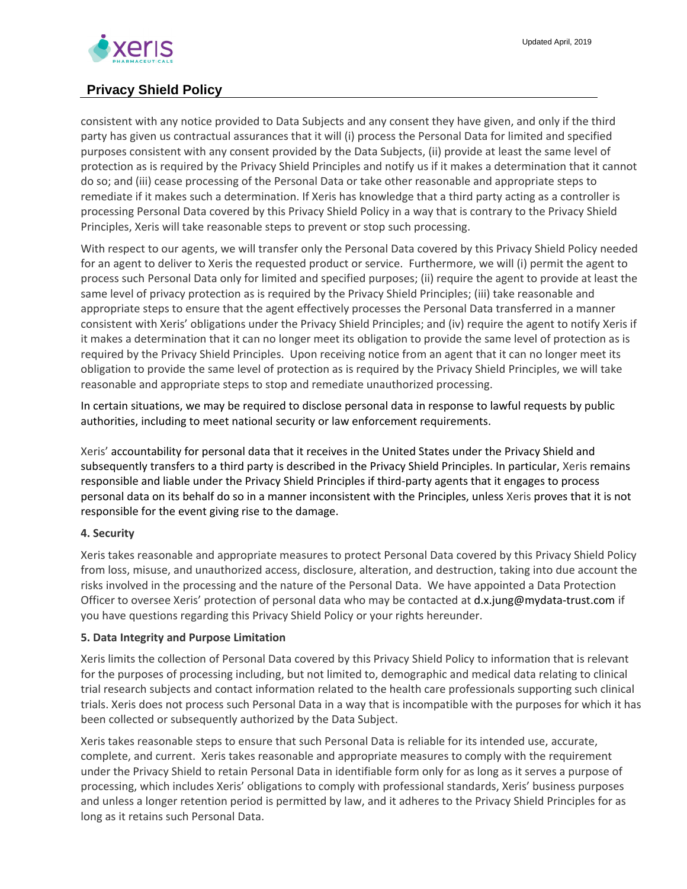

consistent with any notice provided to Data Subjects and any consent they have given, and only if the third party has given us contractual assurances that it will (i) process the Personal Data for limited and specified purposes consistent with any consent provided by the Data Subjects, (ii) provide at least the same level of protection as is required by the Privacy Shield Principles and notify us if it makes a determination that it cannot do so; and (iii) cease processing of the Personal Data or take other reasonable and appropriate steps to remediate if it makes such a determination. If Xeris has knowledge that a third party acting as a controller is processing Personal Data covered by this Privacy Shield Policy in a way that is contrary to the Privacy Shield Principles, Xeris will take reasonable steps to prevent or stop such processing.

With respect to our agents, we will transfer only the Personal Data covered by this Privacy Shield Policy needed for an agent to deliver to Xeris the requested product or service. Furthermore, we will (i) permit the agent to process such Personal Data only for limited and specified purposes; (ii) require the agent to provide at least the same level of privacy protection as is required by the Privacy Shield Principles; (iii) take reasonable and appropriate steps to ensure that the agent effectively processes the Personal Data transferred in a manner consistent with Xeris' obligations under the Privacy Shield Principles; and (iv) require the agent to notify Xeris if it makes a determination that it can no longer meet its obligation to provide the same level of protection as is required by the Privacy Shield Principles. Upon receiving notice from an agent that it can no longer meet its obligation to provide the same level of protection as is required by the Privacy Shield Principles, we will take reasonable and appropriate steps to stop and remediate unauthorized processing.

In certain situations, we may be required to disclose personal data in response to lawful requests by public authorities, including to meet national security or law enforcement requirements.

Xeris' accountability for personal data that it receives in the United States under the Privacy Shield and subsequently transfers to a third party is described in the Privacy Shield Principles. In particular, Xeris remains responsible and liable under the Privacy Shield Principles if third-party agents that it engages to process personal data on its behalf do so in a manner inconsistent with the Principles, unless Xeris proves that it is not responsible for the event giving rise to the damage.

### **4. Security**

Xeris takes reasonable and appropriate measures to protect Personal Data covered by this Privacy Shield Policy from loss, misuse, and unauthorized access, disclosure, alteration, and destruction, taking into due account the risks involved in the processing and the nature of the Personal Data. We have appointed a Data Protection Officer to oversee Xeris' protection of personal data who may be contacted a[t d.x.jung@mydata-trust.com](https://crm.basenet.nl/emailnew.html) if you have questions regarding this Privacy Shield Policy or your rights hereunder.

### **5. Data Integrity and Purpose Limitation**

Xeris limits the collection of Personal Data covered by this Privacy Shield Policy to information that is relevant for the purposes of processing including, but not limited to, demographic and medical data relating to clinical trial research subjects and contact information related to the health care professionals supporting such clinical trials. Xeris does not process such Personal Data in a way that is incompatible with the purposes for which it has been collected or subsequently authorized by the Data Subject.

Xeris takes reasonable steps to ensure that such Personal Data is reliable for its intended use, accurate, complete, and current. Xeris takes reasonable and appropriate measures to comply with the requirement under the Privacy Shield to retain Personal Data in identifiable form only for as long as it serves a purpose of processing, which includes Xeris' obligations to comply with professional standards, Xeris' business purposes and unless a longer retention period is permitted by law, and it adheres to the Privacy Shield Principles for as long as it retains such Personal Data.